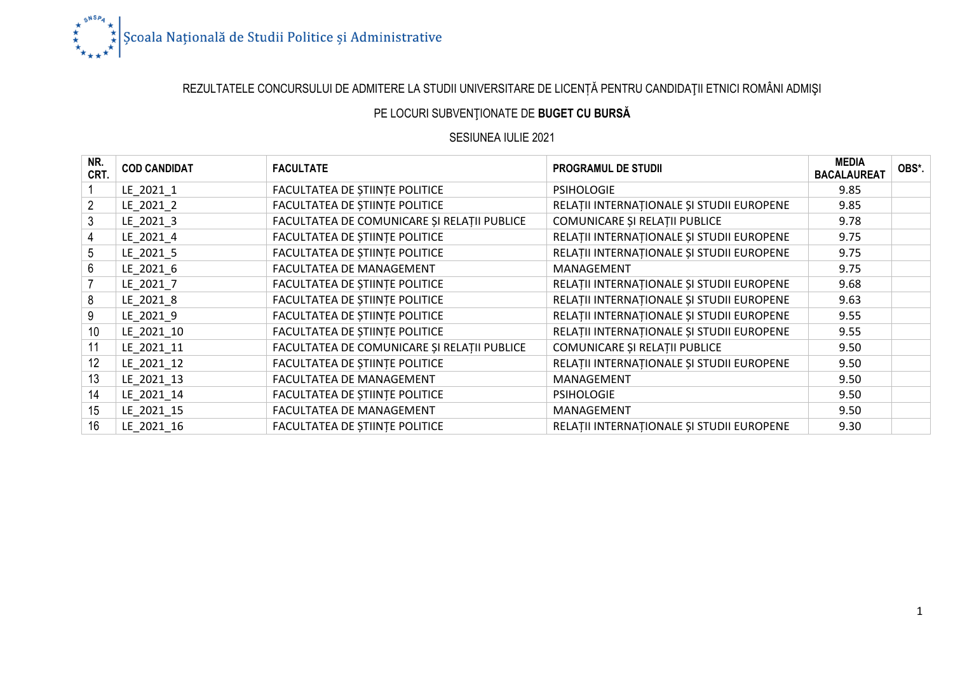

# REZULTATELE CONCURSULUI DE ADMITERE LA STUDII UNIVERSITARE DE LICENȚĂ PENTRU CANDIDAŢII ETNICI ROMÂNI ADMIŞI

### PE LOCURI SUBVENŢIONATE DE **BUGET CU BURSĂ**

#### SESIUNEA IULIE 2021

| NR.<br>CRT.    | <b>COD CANDIDAT</b> | <b>FACULTATE</b>                            | <b>PROGRAMUL DE STUDII</b>                | <b>MEDIA</b><br><b>BACALAUREAT</b> | OBS*. |
|----------------|---------------------|---------------------------------------------|-------------------------------------------|------------------------------------|-------|
|                | LE 2021 1           | FACULTATEA DE ȘTIINȚE POLITICE              | <b>PSIHOLOGIE</b>                         | 9.85                               |       |
| $\overline{2}$ | LE 2021 2           | FACULTATEA DE ȘTIINȚE POLITICE              | RELAȚII INTERNAȚIONALE ȘI STUDII EUROPENE | 9.85                               |       |
| 3              | LE 2021 3           | FACULTATEA DE COMUNICARE ȘI RELAȚII PUBLICE | COMUNICARE ȘI RELAȚII PUBLICE             | 9.78                               |       |
| $\overline{4}$ | LE_2021_4           | FACULTATEA DE ȘTIINȚE POLITICE              | RELAȚII INTERNAȚIONALE ȘI STUDII EUROPENE | 9.75                               |       |
| 5 <sup>5</sup> | LE_2021_5           | FACULTATEA DE ȘTIINȚE POLITICE              | RELAȚII INTERNAȚIONALE ȘI STUDII EUROPENE | 9.75                               |       |
| 6              | LE 2021 6           | FACULTATEA DE MANAGEMENT                    | MANAGEMENT                                | 9.75                               |       |
|                | LE 2021 7           | FACULTATEA DE ȘTIINȚE POLITICE              | RELAȚII INTERNAȚIONALE ȘI STUDII EUROPENE | 9.68                               |       |
| 8              | LE 2021 8           | FACULTATEA DE ȘTIINȚE POLITICE              | RELAȚII INTERNAȚIONALE ȘI STUDII EUROPENE | 9.63                               |       |
| 9              | LE_2021_9           | FACULTATEA DE ȘTIINȚE POLITICE              | RELAȚII INTERNAȚIONALE ȘI STUDII EUROPENE | 9.55                               |       |
| 10             | LE_2021_10          | FACULTATEA DE ȘTIINȚE POLITICE              | RELAȚII INTERNAȚIONALE ȘI STUDII EUROPENE | 9.55                               |       |
| 11             | LE 2021 11          | FACULTATEA DE COMUNICARE ȘI RELAȚII PUBLICE | COMUNICARE ȘI RELAȚII PUBLICE             | 9.50                               |       |
| 12             | LE 2021 12          | FACULTATEA DE ȘTIINȚE POLITICE              | RELAȚII INTERNAȚIONALE ȘI STUDII EUROPENE | 9.50                               |       |
| 13             | LE 2021 13          | FACULTATEA DE MANAGEMENT                    | MANAGEMENT                                | 9.50                               |       |
| 14             | LE_2021_14          | FACULTATEA DE ȘTIINȚE POLITICE              | <b>PSIHOLOGIE</b>                         | 9.50                               |       |
| 15             | LE_2021_15          | FACULTATEA DE MANAGEMENT                    | MANAGEMENT                                | 9.50                               |       |
| 16             | LE 2021 16          | FACULTATEA DE ȘTIINȚE POLITICE              | RELAȚII INTERNAȚIONALE ȘI STUDII EUROPENE | 9.30                               |       |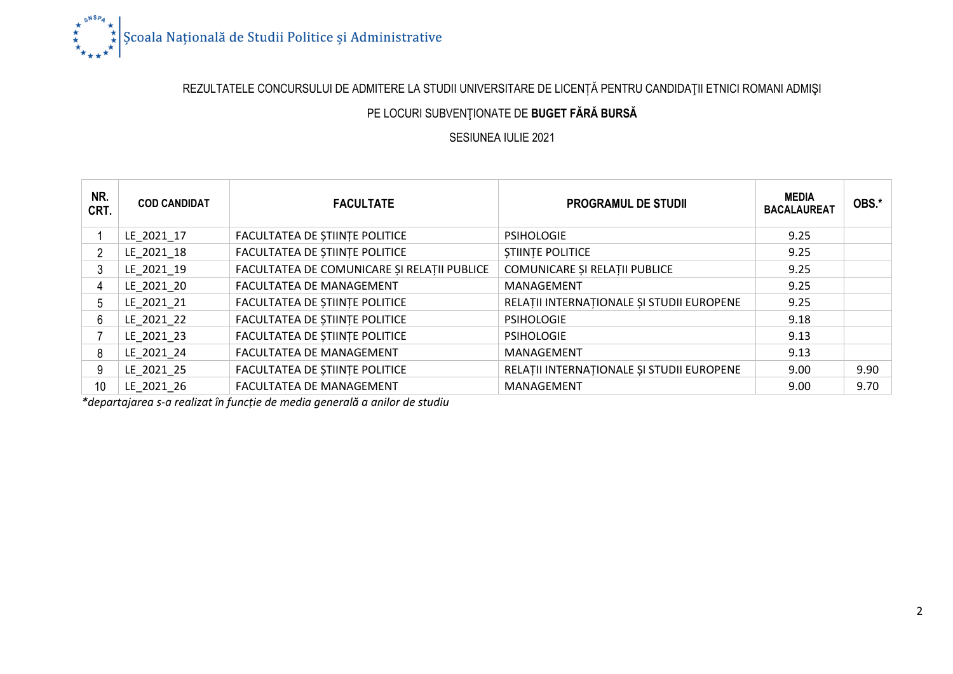

## REZULTATELE CONCURSULUI DE ADMITERE LA STUDII UNIVERSITARE DE LICENȚĂ PENTRU CANDIDAŢII ETNICI ROMANI ADMIŞI

### PE LOCURI SUBVENŢIONATE DE **BUGET FĂRĂ BURSĂ**

#### SESIUNEA IULIE 2021

| NR.<br>CRT. | <b>COD CANDIDAT</b> | <b>FACULTATE</b>                            | <b>PROGRAMUL DE STUDII</b>                | <b>MEDIA</b><br><b>BACALAUREAT</b> | OBS.* |
|-------------|---------------------|---------------------------------------------|-------------------------------------------|------------------------------------|-------|
|             | LE 2021 17          | FACULTATEA DE STIINTE POLITICE              | <b>PSIHOLOGIE</b>                         | 9.25                               |       |
| 2           | LE 2021 18          | FACULTATEA DE STIINTE POLITICE              | <b>STIINTE POLITICE</b>                   | 9.25                               |       |
| 3           | LE 2021 19          | FACULTATEA DE COMUNICARE ȘI RELAȚII PUBLICE | COMUNICARE ȘI RELAȚII PUBLICE             | 9.25                               |       |
| 4           | LE 2021 20          | FACULTATEA DE MANAGEMENT                    | MANAGEMENT                                | 9.25                               |       |
| 5           | LE 2021 21          | FACULTATEA DE STIINTE POLITICE              | RELAȚII INTERNAȚIONALE ȘI STUDII EUROPENE | 9.25                               |       |
| 6           | LE 2021 22          | FACULTATEA DE ȘTIINȚE POLITICE              | <b>PSIHOLOGIE</b>                         | 9.18                               |       |
|             | LE 2021 23          | FACULTATEA DE STIINTE POLITICE              | <b>PSIHOLOGIE</b>                         | 9.13                               |       |
| 8           | LE 2021 24          | FACULTATEA DE MANAGEMENT                    | MANAGEMENT                                | 9.13                               |       |
| 9           | LE 2021 25          | FACULTATEA DE ȘTIINȚE POLITICE              | RELATII INTERNATIONALE ȘI STUDII EUROPENE | 9.00                               | 9.90  |
| 10          | LE 2021 26          | FACULTATEA DE MANAGEMENT                    | MANAGEMENT                                | 9.00                               | 9.70  |

*\*departajarea s-a realizat în funcție de media generală a anilor de studiu*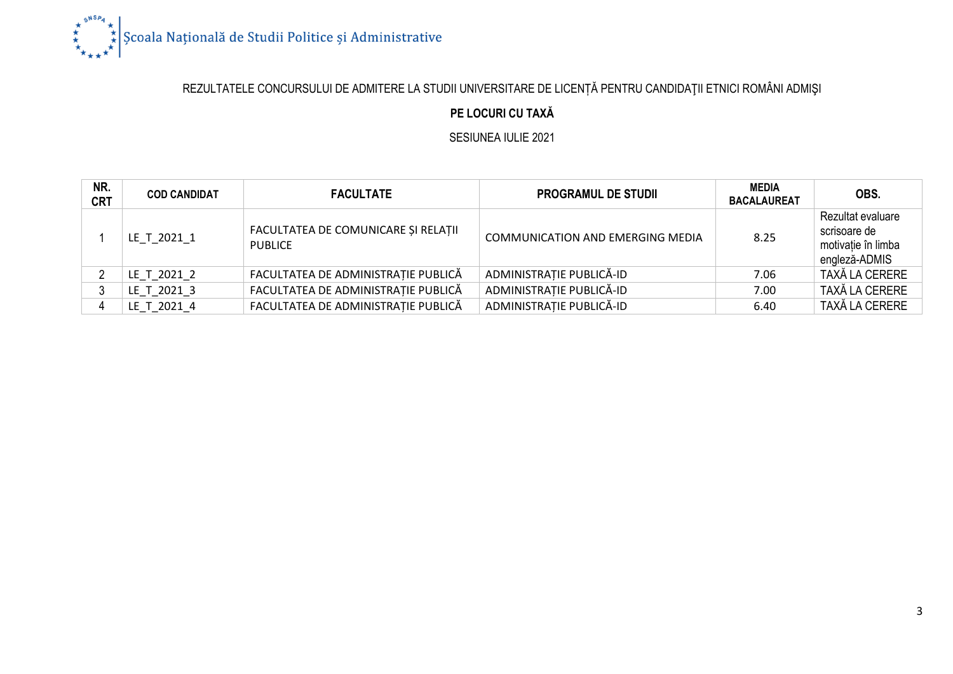

# REZULTATELE CONCURSULUI DE ADMITERE LA STUDII UNIVERSITARE DE LICENȚĂ PENTRU CANDIDAŢII ETNICI ROMÂNI ADMIŞI

### **PE LOCURI CU TAXĂ**

SESIUNEA IULIE 2021

| NR.<br><b>CRT</b> | <b>COD CANDIDAT</b> | <b>FACULTATE</b>                                      | <b>PROGRAMUL DE STUDII</b>              | <b>MEDIA</b><br><b>BACALAUREAT</b> | OBS.                                                                     |
|-------------------|---------------------|-------------------------------------------------------|-----------------------------------------|------------------------------------|--------------------------------------------------------------------------|
|                   | LE T 2021 1         | FACULTATEA DE COMUNICARE ȘI RELAȚII<br><b>PUBLICE</b> | <b>COMMUNICATION AND EMERGING MEDIA</b> | 8.25                               | Rezultat evaluare<br>scrisoare de<br>motivatie în limba<br>engleză-ADMIS |
|                   | LE T 2021 2         | FACULTATEA DE ADMINISTRAȚIE PUBLICĂ                   | ADMINISTRATIE PUBLICĂ-ID                | 7.06                               | TAXĂ LA CERERE                                                           |
|                   | LE T 2021 3         | FACULTATEA DE ADMINISTRAȚIE PUBLICĂ                   | ADMINISTRAȚIE PUBLICĂ-ID                | 7.00                               | TAXĂ LA CERERE                                                           |
|                   | LE_T_2021_4         | FACULTATEA DE ADMINISTRAȚIE PUBLICĂ                   | ADMINISTRATIE PUBLICĂ-ID                | 6.40                               | TAXĂ LA CERERE                                                           |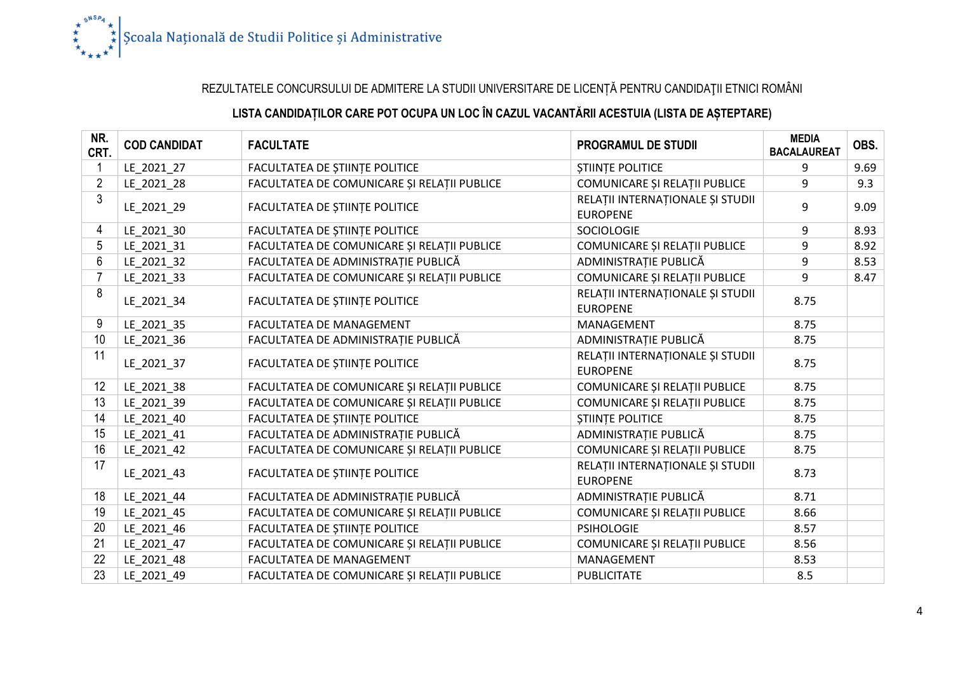

## REZULTATELE CONCURSULUI DE ADMITERE LA STUDII UNIVERSITARE DE LICENȚĂ PENTRU CANDIDAŢII ETNICI ROMÂNI

## **LISTA CANDIDAȚILOR CARE POT OCUPA UN LOC ÎN CAZUL VACANTĂRII ACESTUIA (LISTA DE AȘTEPTARE)**

| NR.<br>CRT.    | <b>COD CANDIDAT</b> | <b>FACULTATE</b>                            | <b>PROGRAMUL DE STUDII</b>                          | <b>MEDIA</b><br><b>BACALAUREAT</b> | OBS. |
|----------------|---------------------|---------------------------------------------|-----------------------------------------------------|------------------------------------|------|
|                | LE_2021_27          | <b>FACULTATEA DE STIINTE POLITICE</b>       | <b>ȘTIINȚE POLITICE</b>                             | 9                                  | 9.69 |
| $\overline{2}$ | LE_2021_28          | FACULTATEA DE COMUNICARE ȘI RELAȚII PUBLICE | COMUNICARE ȘI RELAȚII PUBLICE                       | 9                                  | 9.3  |
| 3              | LE_2021_29          | FACULTATEA DE ȘTIINȚE POLITICE              | RELAȚII INTERNAȚIONALE ȘI STUDII<br><b>EUROPENE</b> | 9                                  | 9.09 |
| 4              | LE_2021_30          | FACULTATEA DE ȘTIINȚE POLITICE              | <b>SOCIOLOGIE</b>                                   | 9                                  | 8.93 |
| 5              | LE_2021_31          | FACULTATEA DE COMUNICARE ȘI RELAȚII PUBLICE | COMUNICARE ȘI RELAȚII PUBLICE                       | 9                                  | 8.92 |
| 6              | LE 2021 32          | FACULTATEA DE ADMINISTRAȚIE PUBLICĂ         | ADMINISTRAȚIE PUBLICĂ                               | 9                                  | 8.53 |
|                | LE 2021 33          | FACULTATEA DE COMUNICARE ȘI RELAȚII PUBLICE | COMUNICARE ȘI RELAȚII PUBLICE                       | 9                                  | 8.47 |
| 8              | LE 2021 34          | FACULTATEA DE ȘTIINȚE POLITICE              | RELAȚII INTERNAȚIONALE ȘI STUDII<br><b>EUROPENE</b> | 8.75                               |      |
| 9              | LE_2021_35          | FACULTATEA DE MANAGEMENT                    | MANAGEMENT                                          | 8.75                               |      |
| 10             | LE_2021_36          | FACULTATEA DE ADMINISTRATIE PUBLICĂ         | ADMINISTRAȚIE PUBLICĂ                               | 8.75                               |      |
| 11             | LE_2021_37          | FACULTATEA DE ȘTIINȚE POLITICE              | RELAȚII INTERNAȚIONALE ȘI STUDII<br><b>EUROPENE</b> | 8.75                               |      |
| 12             | LE_2021_38          | FACULTATEA DE COMUNICARE ȘI RELAȚII PUBLICE | COMUNICARE ȘI RELAȚII PUBLICE                       | 8.75                               |      |
| 13             | LE 2021 39          | FACULTATEA DE COMUNICARE ȘI RELAȚII PUBLICE | COMUNICARE ȘI RELAȚII PUBLICE                       | 8.75                               |      |
| 14             | LE 2021 40          | FACULTATEA DE ȘTIINȚE POLITICE              | <b>ȘTIINȚE POLITICE</b>                             | 8.75                               |      |
| 15             | LE 2021 41          | FACULTATEA DE ADMINISTRAȚIE PUBLICĂ         | ADMINISTRAȚIE PUBLICĂ                               | 8.75                               |      |
| 16             | LE 2021 42          | FACULTATEA DE COMUNICARE ȘI RELAȚII PUBLICE | COMUNICARE ȘI RELAȚII PUBLICE                       | 8.75                               |      |
| 17             | LE_2021_43          | FACULTATEA DE ȘTIINȚE POLITICE              | RELAȚII INTERNAȚIONALE ȘI STUDII<br><b>EUROPENE</b> | 8.73                               |      |
| 18             | LE_2021_44          | FACULTATEA DE ADMINISTRAȚIE PUBLICĂ         | ADMINISTRAȚIE PUBLICĂ                               | 8.71                               |      |
| 19             | LE 2021 45          | FACULTATEA DE COMUNICARE ȘI RELAȚII PUBLICE | COMUNICARE ȘI RELAȚII PUBLICE                       | 8.66                               |      |
| 20             | LE 2021 46          | FACULTATEA DE ȘTIINȚE POLITICE              | <b>PSIHOLOGIE</b>                                   | 8.57                               |      |
| 21             | LE 2021 47          | FACULTATEA DE COMUNICARE ȘI RELAȚII PUBLICE | COMUNICARE ȘI RELAȚII PUBLICE                       | 8.56                               |      |
| 22             | LE_2021_48          | FACULTATEA DE MANAGEMENT                    | MANAGEMENT                                          | 8.53                               |      |
| 23             | LE 2021 49          | FACULTATEA DE COMUNICARE ȘI RELAȚII PUBLICE | <b>PUBLICITATE</b>                                  | 8.5                                |      |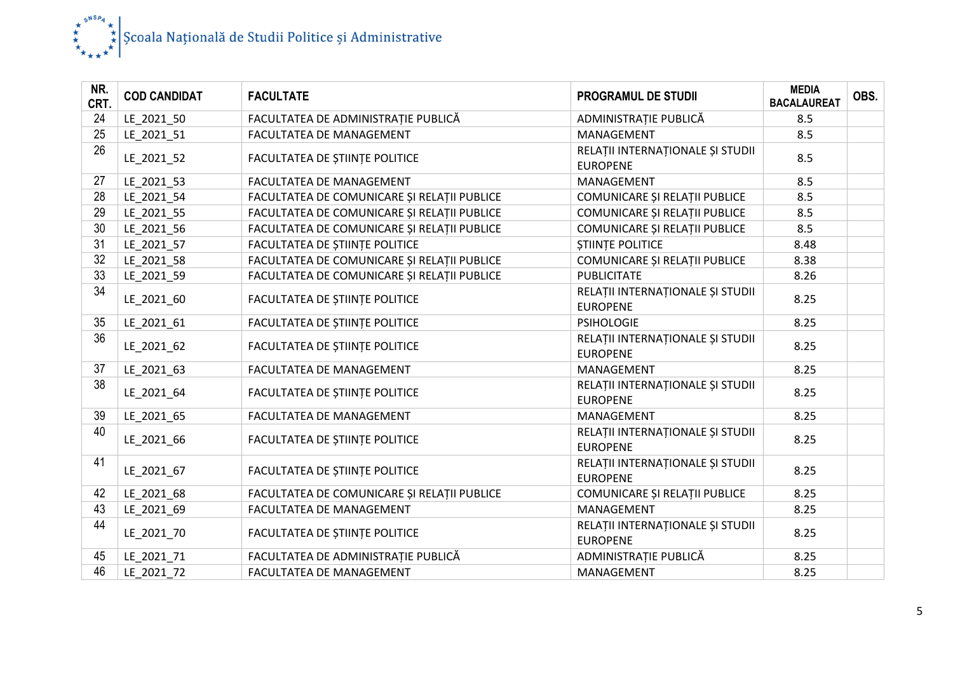

| NR.<br>CRT. | <b>COD CANDIDAT</b> | <b>FACULTATE</b>                            | <b>PROGRAMUL DE STUDII</b>                          | <b>MEDIA</b><br><b>BACALAUREAT</b> | OBS. |
|-------------|---------------------|---------------------------------------------|-----------------------------------------------------|------------------------------------|------|
| 24          | LE_2021_50          | FACULTATEA DE ADMINISTRAȚIE PUBLICĂ         | ADMINISTRAȚIE PUBLICĂ                               | 8.5                                |      |
| 25          | LE_2021_51          | FACULTATEA DE MANAGEMENT                    | MANAGEMENT                                          | 8.5                                |      |
| 26          | LE_2021_52          | FACULTATEA DE ȘTIINȚE POLITICE              | RELAȚII INTERNAȚIONALE ȘI STUDII<br><b>EUROPENE</b> | 8.5                                |      |
| 27          | LE_2021_53          | FACULTATEA DE MANAGEMENT                    | MANAGEMENT                                          | 8.5                                |      |
| 28          | LE 2021 54          | FACULTATEA DE COMUNICARE ȘI RELAȚII PUBLICE | COMUNICARE ȘI RELAȚII PUBLICE                       | 8.5                                |      |
| 29          | LE 2021 55          | FACULTATEA DE COMUNICARE ȘI RELAȚII PUBLICE | COMUNICARE ȘI RELAȚII PUBLICE                       | 8.5                                |      |
| 30          | LE_2021_56          | FACULTATEA DE COMUNICARE ȘI RELAȚII PUBLICE | COMUNICARE ȘI RELAȚII PUBLICE                       | 8.5                                |      |
| 31          | LE_2021_57          | FACULTATEA DE ȘTIINȚE POLITICE              | <b>STIINTE POLITICE</b>                             | 8.48                               |      |
| 32          | LE 2021 58          | FACULTATEA DE COMUNICARE ȘI RELAȚII PUBLICE | COMUNICARE ȘI RELAȚII PUBLICE                       | 8.38                               |      |
| 33          | LE_2021_59          | FACULTATEA DE COMUNICARE ȘI RELAȚII PUBLICE | <b>PUBLICITATE</b>                                  | 8.26                               |      |
| 34          | LE_2021_60          | FACULTATEA DE ȘTIINȚE POLITICE              | RELAȚII INTERNAȚIONALE ȘI STUDII<br><b>EUROPENE</b> | 8.25                               |      |
| 35          | LE_2021_61          | FACULTATEA DE ȘTIINȚE POLITICE              | <b>PSIHOLOGIE</b>                                   | 8.25                               |      |
| 36          | LE_2021_62          | FACULTATEA DE ȘTIINȚE POLITICE              | RELAȚII INTERNAȚIONALE ȘI STUDII<br><b>EUROPENE</b> | 8.25                               |      |
| 37          | LE_2021_63          | FACULTATEA DE MANAGEMENT                    | MANAGEMENT                                          | 8.25                               |      |
| 38          | LE_2021_64          | FACULTATEA DE ȘTIINȚE POLITICE              | RELAȚII INTERNAȚIONALE ȘI STUDII<br><b>EUROPENE</b> | 8.25                               |      |
| 39          | LE_2021_65          | FACULTATEA DE MANAGEMENT                    | MANAGEMENT                                          | 8.25                               |      |
| 40          | LE 2021 66          | FACULTATEA DE ȘTIINȚE POLITICE              | RELAȚII INTERNAȚIONALE ȘI STUDII<br><b>EUROPENE</b> | 8.25                               |      |
| 41          | LE_2021_67          | FACULTATEA DE ȘTIINȚE POLITICE              | RELAȚII INTERNAȚIONALE ȘI STUDII<br><b>EUROPENE</b> | 8.25                               |      |
| 42          | LE 2021 68          | FACULTATEA DE COMUNICARE ȘI RELAȚII PUBLICE | COMUNICARE ȘI RELAȚII PUBLICE                       | 8.25                               |      |
| 43          | LE 2021 69          | FACULTATEA DE MANAGEMENT                    | MANAGEMENT                                          | 8.25                               |      |
| 44          | LE 2021 70          | FACULTATEA DE ȘTIINȚE POLITICE              | RELAȚII INTERNAȚIONALE ȘI STUDII<br><b>EUROPENE</b> | 8.25                               |      |
| 45          | LE 2021 71          | FACULTATEA DE ADMINISTRAȚIE PUBLICĂ         | ADMINISTRAȚIE PUBLICĂ                               | 8.25                               |      |
| 46          | LE 2021 72          | FACULTATEA DE MANAGEMENT                    | MANAGEMENT                                          | 8.25                               |      |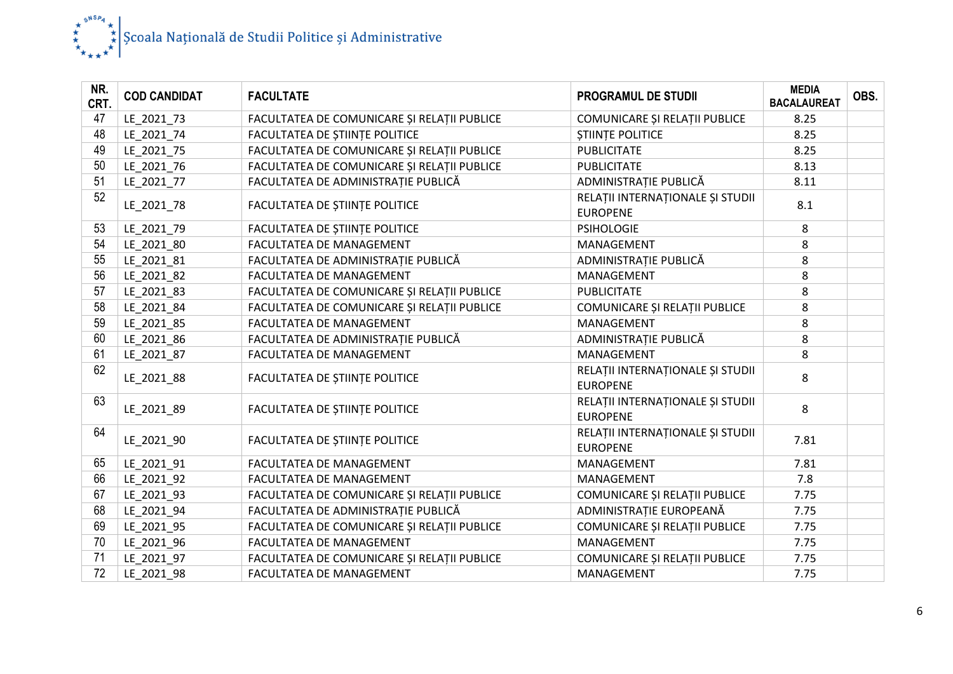

| NR.<br>CRT. | <b>COD CANDIDAT</b> | <b>FACULTATE</b>                            | <b>PROGRAMUL DE STUDII</b>                          | <b>MEDIA</b><br><b>BACALAUREAT</b> | OBS. |
|-------------|---------------------|---------------------------------------------|-----------------------------------------------------|------------------------------------|------|
| 47          | LE_2021_73          | FACULTATEA DE COMUNICARE ȘI RELAȚII PUBLICE | COMUNICARE ȘI RELAȚII PUBLICE                       | 8.25                               |      |
| 48          | LE 2021 74          | FACULTATEA DE ȘTIINȚE POLITICE              | <b>STIINTE POLITICE</b>                             | 8.25                               |      |
| 49          | LE_2021_75          | FACULTATEA DE COMUNICARE ȘI RELAȚII PUBLICE | <b>PUBLICITATE</b>                                  | 8.25                               |      |
| 50          | LE_2021_76          | FACULTATEA DE COMUNICARE ȘI RELAȚII PUBLICE | <b>PUBLICITATE</b>                                  | 8.13                               |      |
| 51          | LE 2021 77          | FACULTATEA DE ADMINISTRATIE PUBLICĂ         | ADMINISTRAȚIE PUBLICĂ                               | 8.11                               |      |
| 52          | LE_2021_78          | FACULTATEA DE ȘTIINȚE POLITICE              | RELAȚII INTERNAȚIONALE ȘI STUDII<br><b>EUROPENE</b> | 8.1                                |      |
| 53          | LE 2021 79          | FACULTATEA DE ȘTIINȚE POLITICE              | <b>PSIHOLOGIE</b>                                   | 8                                  |      |
| 54          | LE_2021_80          | FACULTATEA DE MANAGEMENT                    | MANAGEMENT                                          | 8                                  |      |
| 55          | LE_2021_81          | FACULTATEA DE ADMINISTRAȚIE PUBLICĂ         | ADMINISTRAȚIE PUBLICĂ                               | 8                                  |      |
| 56          | LE_2021_82          | FACULTATEA DE MANAGEMENT                    | MANAGEMENT                                          | 8                                  |      |
| 57          | LE_2021_83          | FACULTATEA DE COMUNICARE ȘI RELAȚII PUBLICE | <b>PUBLICITATE</b>                                  | 8                                  |      |
| 58          | LE_2021_84          | FACULTATEA DE COMUNICARE ȘI RELAȚII PUBLICE | COMUNICARE ȘI RELAȚII PUBLICE                       | 8                                  |      |
| 59          | LE 2021 85          | FACULTATEA DE MANAGEMENT                    | MANAGEMENT                                          | 8                                  |      |
| 60          | LE 2021 86          | FACULTATEA DE ADMINISTRAȚIE PUBLICĂ         | ADMINISTRAȚIE PUBLICĂ                               | 8                                  |      |
| 61          | LE_2021_87          | FACULTATEA DE MANAGEMENT                    | MANAGEMENT                                          | 8                                  |      |
| 62          | LE 2021 88          | FACULTATEA DE ȘTIINȚE POLITICE              | RELAȚII INTERNAȚIONALE ȘI STUDII<br><b>EUROPENE</b> | 8                                  |      |
| 63          | LE 2021 89          | FACULTATEA DE ȘTIINȚE POLITICE              | RELAȚII INTERNAȚIONALE ȘI STUDII<br><b>EUROPENE</b> | 8                                  |      |
| 64          | LE_2021_90          | FACULTATEA DE ȘTIINȚE POLITICE              | RELAȚII INTERNAȚIONALE ȘI STUDII<br><b>EUROPENE</b> | 7.81                               |      |
| 65          | LE_2021_91          | FACULTATEA DE MANAGEMENT                    | MANAGEMENT                                          | 7.81                               |      |
| 66          | LE 2021 92          | FACULTATEA DE MANAGEMENT                    | MANAGEMENT                                          | 7.8                                |      |
| 67          | LE_2021_93          | FACULTATEA DE COMUNICARE ȘI RELAȚII PUBLICE | COMUNICARE ȘI RELAȚII PUBLICE                       | 7.75                               |      |
| 68          | LE 2021 94          | FACULTATEA DE ADMINISTRAȚIE PUBLICĂ         | ADMINISTRAȚIE EUROPEANĂ                             | 7.75                               |      |
| 69          | LE 2021 95          | FACULTATEA DE COMUNICARE ȘI RELAȚII PUBLICE | COMUNICARE ȘI RELAȚII PUBLICE                       | 7.75                               |      |
| 70          | LE_2021_96          | FACULTATEA DE MANAGEMENT                    | MANAGEMENT                                          | 7.75                               |      |
| 71          | LE 2021 97          | FACULTATEA DE COMUNICARE ȘI RELAȚII PUBLICE | COMUNICARE ȘI RELAȚII PUBLICE                       | 7.75                               |      |
| 72          | LE 2021 98          | FACULTATEA DE MANAGEMENT                    | MANAGEMENT                                          | 7.75                               |      |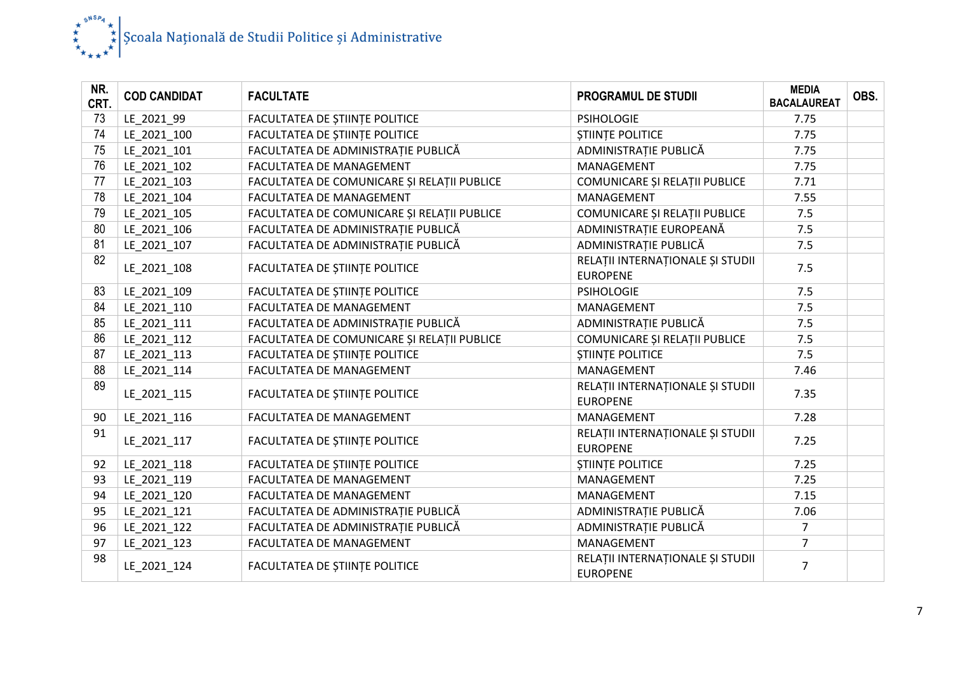

| NR.<br>CRT. | <b>COD CANDIDAT</b> | <b>FACULTATE</b>                            | <b>PROGRAMUL DE STUDII</b>                          | <b>MEDIA</b><br><b>BACALAUREAT</b> | OBS. |
|-------------|---------------------|---------------------------------------------|-----------------------------------------------------|------------------------------------|------|
| 73          | LE_2021_99          | FACULTATEA DE ȘTIINȚE POLITICE              | <b>PSIHOLOGIE</b>                                   | 7.75                               |      |
| 74          | LE_2021_100         | FACULTATEA DE ȘTIINȚE POLITICE              | <b>STIINTE POLITICE</b>                             | 7.75                               |      |
| 75          | LE_2021_101         | FACULTATEA DE ADMINISTRAȚIE PUBLICĂ         | ADMINISTRAȚIE PUBLICĂ                               | 7.75                               |      |
| 76          | LE_2021_102         | FACULTATEA DE MANAGEMENT                    | MANAGEMENT                                          | 7.75                               |      |
| 77          | LE 2021 103         | FACULTATEA DE COMUNICARE ȘI RELAȚII PUBLICE | COMUNICARE ȘI RELAȚII PUBLICE                       | 7.71                               |      |
| 78          | LE 2021 104         | FACULTATEA DE MANAGEMENT                    | MANAGEMENT                                          | 7.55                               |      |
| 79          | LE 2021 105         | FACULTATEA DE COMUNICARE ȘI RELAȚII PUBLICE | COMUNICARE ȘI RELAȚII PUBLICE                       | 7.5                                |      |
| 80          | LE 2021 106         | FACULTATEA DE ADMINISTRAȚIE PUBLICĂ         | ADMINISTRAȚIE EUROPEANĂ                             | 7.5                                |      |
| 81          | LE 2021 107         | FACULTATEA DE ADMINISTRAȚIE PUBLICĂ         | ADMINISTRAȚIE PUBLICĂ                               | 7.5                                |      |
| 82          | LE 2021 108         | FACULTATEA DE ȘTIINȚE POLITICE              | RELAȚII INTERNAȚIONALE ȘI STUDII<br><b>EUROPENE</b> | 7.5                                |      |
| 83          | LE 2021 109         | FACULTATEA DE ȘTIINȚE POLITICE              | <b>PSIHOLOGIE</b>                                   | 7.5                                |      |
| 84          | LE_2021_110         | FACULTATEA DE MANAGEMENT                    | MANAGEMENT                                          | 7.5                                |      |
| 85          | LE 2021 111         | FACULTATEA DE ADMINISTRAȚIE PUBLICĂ         | ADMINISTRAȚIE PUBLICĂ                               | 7.5                                |      |
| 86          | LE 2021 112         | FACULTATEA DE COMUNICARE ȘI RELAȚII PUBLICE | COMUNICARE ȘI RELAȚII PUBLICE                       | 7.5                                |      |
| 87          | LE_2021_113         | FACULTATEA DE ȘTIINȚE POLITICE              | <b>STIINTE POLITICE</b>                             | 7.5                                |      |
| 88          | LE 2021 114         | FACULTATEA DE MANAGEMENT                    | MANAGEMENT                                          | 7.46                               |      |
| 89          | LE_2021_115         | FACULTATEA DE ȘTIINȚE POLITICE              | RELAȚII INTERNAȚIONALE ȘI STUDII<br><b>EUROPENE</b> | 7.35                               |      |
| 90          | LE_2021_116         | FACULTATEA DE MANAGEMENT                    | MANAGEMENT                                          | 7.28                               |      |
| 91          | LE 2021 117         | FACULTATEA DE ȘTIINȚE POLITICE              | RELAȚII INTERNAȚIONALE ȘI STUDII<br><b>EUROPENE</b> | 7.25                               |      |
| 92          | LE 2021 118         | FACULTATEA DE ȘTIINȚE POLITICE              | <b>STIINTE POLITICE</b>                             | 7.25                               |      |
| 93          | LE_2021_119         | FACULTATEA DE MANAGEMENT                    | MANAGEMENT                                          | 7.25                               |      |
| 94          | LE_2021_120         | FACULTATEA DE MANAGEMENT                    | MANAGEMENT                                          | 7.15                               |      |
| 95          | LE_2021_121         | FACULTATEA DE ADMINISTRAȚIE PUBLICĂ         | ADMINISTRAȚIE PUBLICĂ                               | 7.06                               |      |
| 96          | LE_2021_122         | FACULTATEA DE ADMINISTRAȚIE PUBLICĂ         | ADMINISTRAȚIE PUBLICĂ                               | $\overline{7}$                     |      |
| 97          | LE_2021_123         | FACULTATEA DE MANAGEMENT                    | MANAGEMENT                                          | $\overline{7}$                     |      |
| 98          | LE_2021_124         | FACULTATEA DE ȘTIINȚE POLITICE              | RELAȚII INTERNAȚIONALE ȘI STUDII<br><b>EUROPENE</b> | $\overline{7}$                     |      |